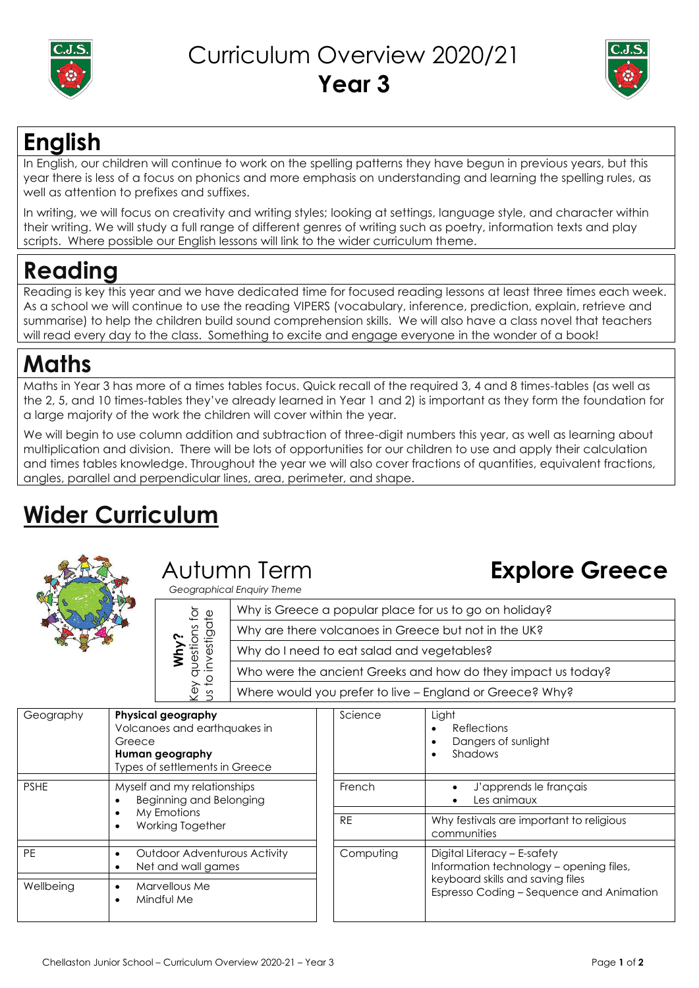



## **English**

In English, our children will continue to work on the spelling patterns they have begun in previous years, but this year there is less of a focus on phonics and more emphasis on understanding and learning the spelling rules, as well as attention to prefixes and suffixes.

In writing, we will focus on creativity and writing styles; looking at settings, language style, and character within their writing. We will study a full range of different genres of writing such as poetry, information texts and play scripts. Where possible our English lessons will link to the wider curriculum theme.

# **Reading**

Reading is key this year and we have dedicated time for focused reading lessons at least three times each week. As a school we will continue to use the reading VIPERS (vocabulary, inference, prediction, explain, retrieve and summarise) to help the children build sound comprehension skills. We will also have a class novel that teachers will read every day to the class. Something to excite and engage everyone in the wonder of a book!

## **Maths**

Maths in Year 3 has more of a times tables focus. Quick recall of the required 3, 4 and 8 times-tables (as well as the 2, 5, and 10 times-tables they've already learned in Year 1 and 2) is important as they form the foundation for a large majority of the work the children will cover within the year.

We will begin to use column addition and subtraction of three-digit numbers this year, as well as learning about multiplication and division. There will be lots of opportunities for our children to use and apply their calculation and times tables knowledge. Throughout the year we will also cover fractions of quantities, equivalent fractions, angles, parallel and perpendicular lines, area, perimeter, and shape.

# **Wider Curriculum**



# Autumn Term

 *Geographical Enquiry Theme*

# **Explore Greece**

| zeographicar crigolly Theme                  |                                                              |  |
|----------------------------------------------|--------------------------------------------------------------|--|
| stions for<br>estigate<br>Key qu<br>us to ir | Why is Greece a popular place for us to go on holiday?       |  |
|                                              | Why are there volcanoes in Greece but not in the UK?         |  |
|                                              | Why do I need to eat salad and vegetables?                   |  |
|                                              | Who were the ancient Greeks and how do they impact us today? |  |
|                                              | Where would you prefer to live - England or Greece? Why?     |  |

| Geography   | <b>Physical geography</b><br>Volcanoes and earthquakes in<br>Greece<br>Human geography<br>Types of settlements in Greece | Science   | Light<br><b>Reflections</b><br>$\bullet$<br>Dangers of sunlight<br>$\bullet$<br>Shadows<br>$\bullet$ |
|-------------|--------------------------------------------------------------------------------------------------------------------------|-----------|------------------------------------------------------------------------------------------------------|
| <b>PSHE</b> | Myself and my relationships<br>Beginning and Belonging                                                                   | French    | J'apprends le français<br>Les animaux                                                                |
|             | My Emotions<br>$\bullet$<br>Working Together<br>$\bullet$                                                                | <b>RE</b> | Why festivals are important to religious<br>communities                                              |
| <b>PE</b>   | <b>Outdoor Adventurous Activity</b><br>Net and wall games                                                                | Computing | Digital Literacy - E-safety<br>Information technology - opening files,                               |
| Wellbeing   | Marvellous Me<br>$\bullet$<br>Mindful Me<br>٠                                                                            |           | keyboard skills and saving files<br>Espresso Coding - Sequence and Animation                         |